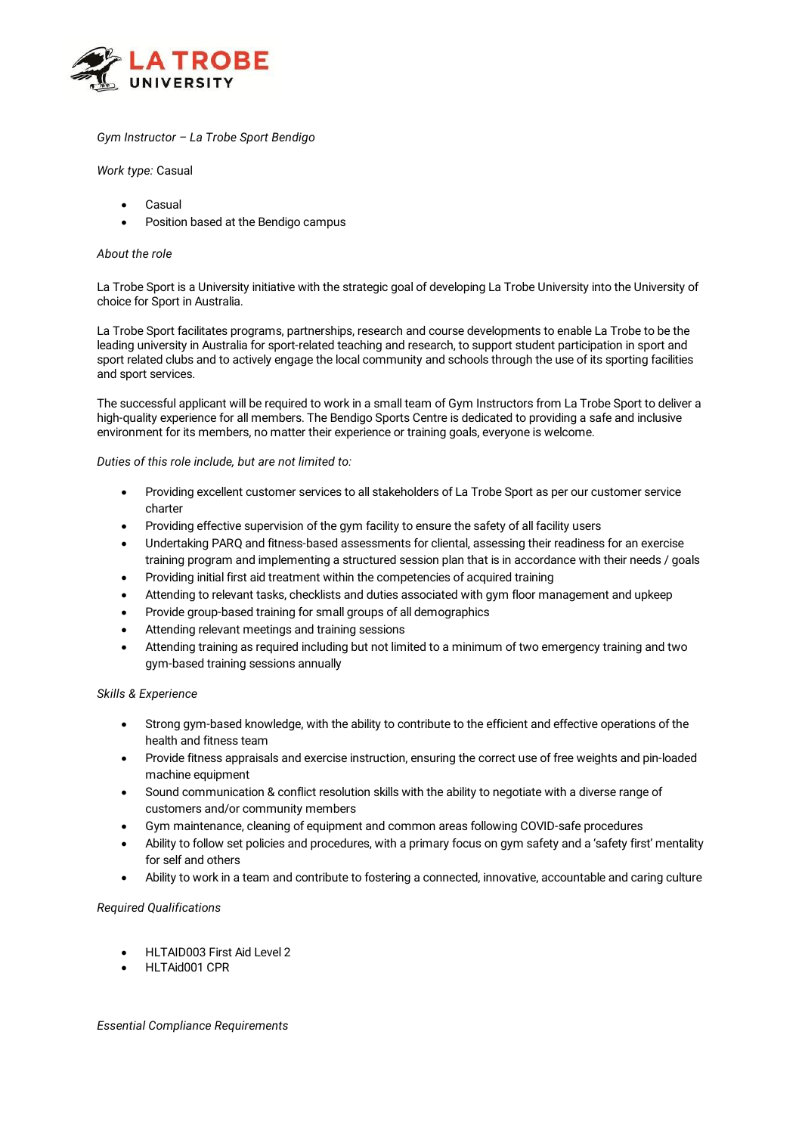

# *Gym Instructor – La Trobe Sport Bendigo*

*Work type:* Casual

- **Casual**
- Position based at the Bendigo campus

### *About the role*

La Trobe Sport is a University initiative with the strategic goal of developing La Trobe University into the University of choice for Sport in Australia.

La Trobe Sport facilitates programs, partnerships, research and course developments to enable La Trobe to be the leading university in Australia for sport-related teaching and research, to support student participation in sport and sport related clubs and to actively engage the local community and schools through the use of its sporting facilities and sport services.

The successful applicant will be required to work in a small team of Gym Instructors from La Trobe Sport to deliver a high-quality experience for all members. The Bendigo Sports Centre is dedicated to providing a safe and inclusive environment for its members, no matter their experience or training goals, everyone is welcome.

#### *Duties of this role include, but are not limited to:*

- Providing excellent customer services to all stakeholders of La Trobe Sport as per our customer service charter
- Providing effective supervision of the gym facility to ensure the safety of all facility users
- Undertaking PARQ and fitness-based assessments for cliental, assessing their readiness for an exercise training program and implementing a structured session plan that is in accordance with their needs / goals
- Providing initial first aid treatment within the competencies of acquired training
- Attending to relevant tasks, checklists and duties associated with gym floor management and upkeep
- Provide group-based training for small groups of all demographics
- Attending relevant meetings and training sessions
- Attending training as required including but not limited to a minimum of two emergency training and two gym-based training sessions annually

## *Skills & Experience*

- Strong gym-based knowledge, with the ability to contribute to the efficient and effective operations of the health and fitness team
- Provide fitness appraisals and exercise instruction, ensuring the correct use of free weights and pin-loaded machine equipment
- Sound communication & conflict resolution skills with the ability to negotiate with a diverse range of customers and/or community members
- Gym maintenance, cleaning of equipment and common areas following COVID-safe procedures
- Ability to follow set policies and procedures, with a primary focus on gym safety and a 'safety first' mentality for self and others
- Ability to work in a team and contribute to fostering a connected, innovative, accountable and caring culture

## *Required Qualifications*

- HLTAID003 First Aid Level 2
- HI TAid001 CPR